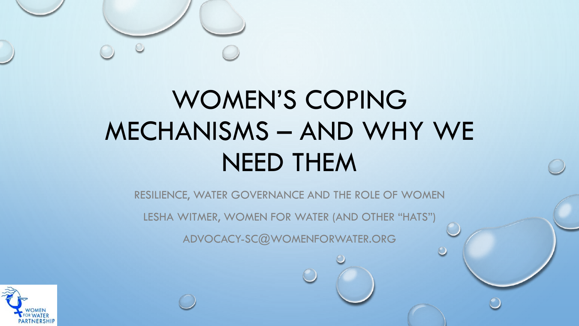

# WOMEN'S COPING MECHANISMS – AND WHY WE NEED THEM

RESILIENCE, WATER GOVERNANCE AND THE ROLE OF WOMEN

LESHA WITMER, WOMEN FOR WATER (AND OTHER "HATS")

ADVOCACY-SC@WOMENFORWATER.ORG

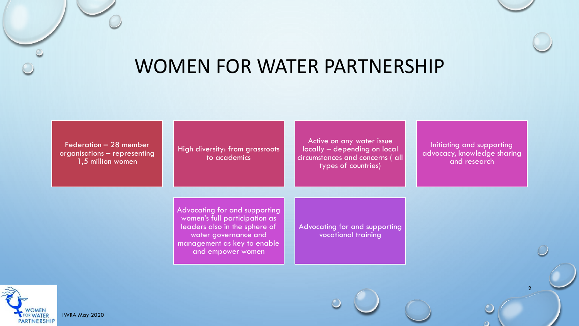

| Federation - 28 member       |
|------------------------------|
| organisations - representing |
| 1,5 million women            |

High diversity: from grassroots Active on any water issue locally – depending on local circumstances and concerns ( all types of countries)

> Advocating for and supporting vocational training

Initiating and supporting advocacy, knowledge sharing and research

2

Advocating for and supporting women's full participation as leaders also in the sphere of water governance and management as key to enable and empower women

to academics

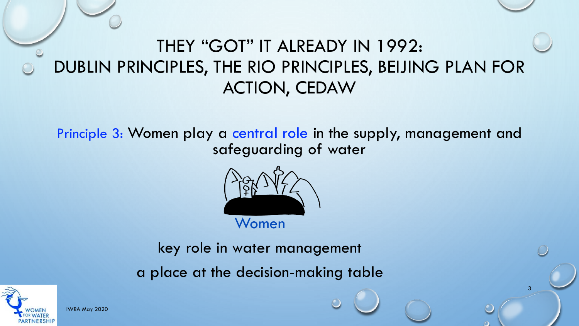## THEY "GOT" IT ALREADY IN 1992: DUBLIN PRINCIPLES, THE RIO PRINCIPLES, BEIJING PLAN FOR ACTION, CEDAW

Principle 3: Women play a central role in the supply, management and safeguarding of water

3



key role in water management

a place at the decision-making table



IWRA May 2020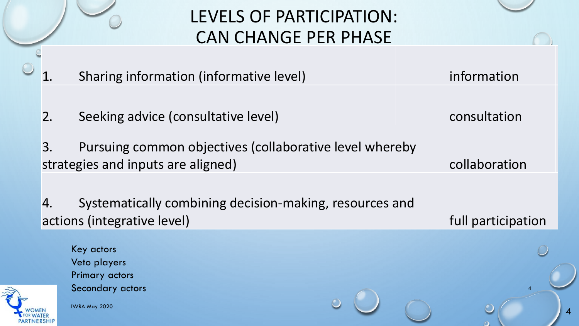### LEVELS OF PARTICIPATION: CAN CHANGE PER PHASE

|               | Sharing information (informative level)                                                       | information        |
|---------------|-----------------------------------------------------------------------------------------------|--------------------|
| $\mathsf{2}.$ | Seeking advice (consultative level)                                                           | consultation       |
| 3.            | Pursuing common objectives (collaborative level whereby<br>strategies and inputs are aligned) | collaboration      |
| <sup>4.</sup> | Systematically combining decision-making, resources and                                       |                    |
|               | actions (integrative level)                                                                   | full participation |
|               | Key actors<br>Veto players                                                                    |                    |
|               | <b>Primary actors</b><br>Secondary actors<br>IWRA May 2020                                    |                    |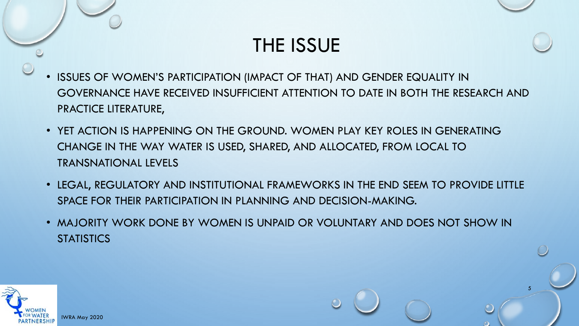### THE ISSUE

- ISSUES OF WOMEN'S PARTICIPATION (IMPACT OF THAT) AND GENDER EQUALITY IN GOVERNANCE HAVE RECEIVED INSUFFICIENT ATTENTION TO DATE IN BOTH THE RESEARCH AND PRACTICE LITERATURE,
- YET ACTION IS HAPPENING ON THE GROUND. WOMEN PLAY KEY ROLES IN GENERATING CHANGE IN THE WAY WATER IS USED, SHARED, AND ALLOCATED, FROM LOCAL TO TRANSNATIONAL LEVELS
- LEGAL, REGULATORY AND INSTITUTIONAL FRAMEWORKS IN THE END SEEM TO PROVIDE LITTLE SPACE FOR THEIR PARTICIPATION IN PLANNING AND DECISION-MAKING.
- MAJORITY WORK DONE BY WOMEN IS UNPAID OR VOLUNTARY AND DOES NOT SHOW IN **STATISTICS**

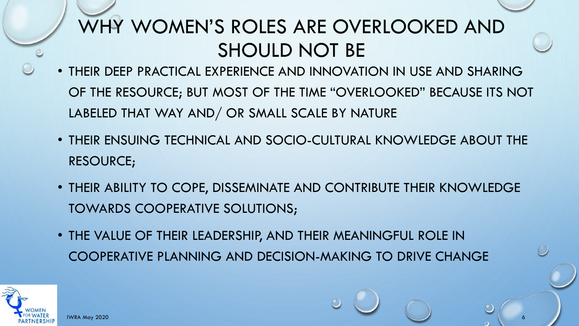## WHY WOMEN'S ROLES ARE OVERLOOKED AND SHOULD NOT BE

- THEIR DEEP PRACTICAL EXPERIENCE AND INNOVATION IN USE AND SHARING OF THE RESOURCE; BUT MOST OF THE TIME "OVERLOOKED" BECAUSE ITS NOT LABELED THAT WAY AND/ OR SMALL SCALE BY NATURE
- THEIR ENSUING TECHNICAL AND SOCIO-CULTURAL KNOWLEDGE ABOUT THE RESOURCE;
- THEIR ABILITY TO COPE, DISSEMINATE AND CONTRIBUTE THEIR KNOWLEDGE TOWARDS COOPERATIVE SOLUTIONS;

IWRA May 2020 6

• THE VALUE OF THEIR LEADERSHIP, AND THEIR MEANINGFUL ROLE IN COOPERATIVE PLANNING AND DECISION-MAKING TO DRIVE CHANGE

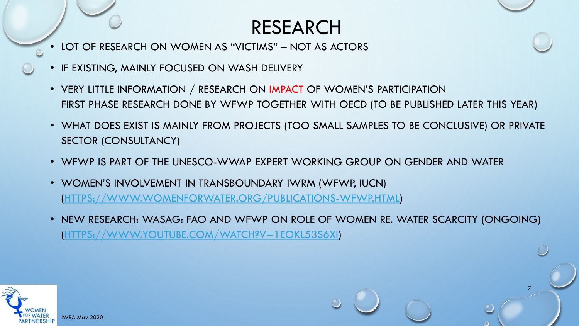## RESEARCH

- LOT OF RESEARCH ON WOMEN AS "VICTIMS" NOT AS ACTORS
- IF EXISTING, MAINLY FOCUSED ON WASH DELIVERY
- VERY LITTLE INFORMATION / RESEARCH ON IMPACT OF WOMEN'S PARTICIPATION FIRST PHASE RESEARCH DONE BY WFWP TOGETHER WITH OECD (TO BE PUBLISHED LATER THIS YEAR)
- WHAT DOES EXIST IS MAINLY FROM PROJECTS (TOO SMALL SAMPLES TO BE CONCLUSIVE) OR PRIVATE SECTOR (CONSULTANCY)
- WFWP IS PART OF THE UNESCO-WWAP EXPERT WORKING GROUP ON GENDER AND WATER
- WOMEN'S INVOLVEMENT IN TRANSBOUNDARY IWRM (WFWP, IUCN) [\(HTTPS://WWW.WOMENFORWATER.ORG/PUBLICATIONS-WFWP.HTML](https://www.womenforwater.org/publications-wfwp.html))
- NEW RESEARCH: WASAG: FAO AND WFWP ON ROLE OF WOMEN RE. WATER SCARCITY (ONGOING) [\(HTTPS://WWW.YOUTUBE.COM/WATCH?V=1EOKL53S6XI](https://www.youtube.com/watch?v=1EOkl53s6xI))

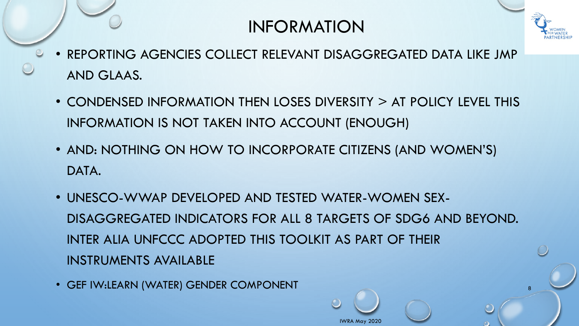#### INFORMATION



8

- REPORTING AGENCIES COLLECT RELEVANT DISAGGREGATED DATA LIKE JMP AND GLAAS.
	- CONDENSED INFORMATION THEN LOSES DIVERSITY > AT POLICY LEVEL THIS INFORMATION IS NOT TAKEN INTO ACCOUNT (ENOUGH)
	- AND: NOTHING ON HOW TO INCORPORATE CITIZENS (AND WOMEN'S) DATA.
	- UNESCO-WWAP DEVELOPED AND TESTED WATER-WOMEN SEX-DISAGGREGATED INDICATORS FOR ALL 8 TARGETS OF SDG6 AND BEYOND. INTER ALIA UNFCCC ADOPTED THIS TOOLKIT AS PART OF THEIR INSTRUMENTS AVAILABLE

IWRA May 2020

• GEF IW:LEARN (WATER) GENDER COMPONENT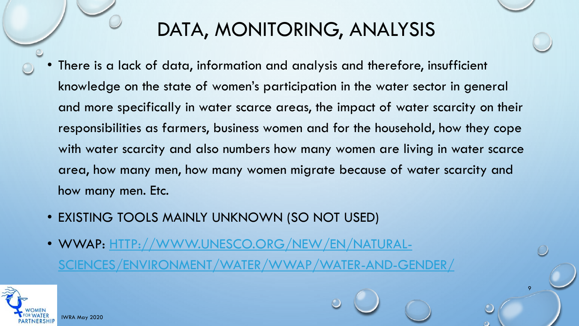## DATA, MONITORING, ANALYSIS

There is a lack of data, information and analysis and therefore, insufficient knowledge on the state of women's participation in the water sector in general and more specifically in water scarce areas, the impact of water scarcity on their responsibilities as farmers, business women and for the household, how they cope with water scarcity and also numbers how many women are living in water scarce area, how many men, how many women migrate because of water scarcity and how many men. Etc.

- EXISTING TOOLS MAINLY UNKNOWN (SO NOT USED)
- WWAP: [HTTP://WWW.UNESCO.ORG/NEW/EN/NATURAL-](http://www.unesco.org/new/en/natural-sciences/environment/water/wwap/water-and-gender/)[SCIENCES/ENVIRONMENT/WATER/WWAP/WATER-AND-GENDER/](http://www.unesco.org/new/en/natural-sciences/environment/water/wwap/water-and-gender/)